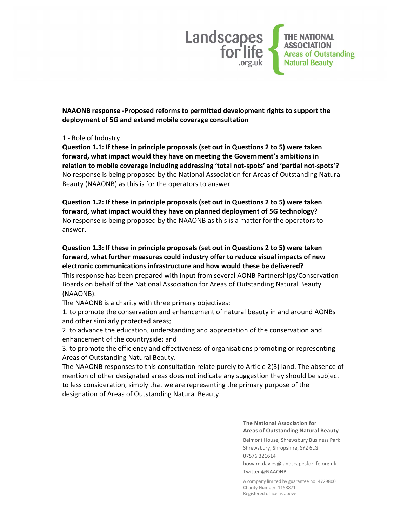

NAAONB response -Proposed reforms to permitted development rights to support the deployment of 5G and extend mobile coverage consultation

#### 1 - Role of Industry

Question 1.1: If these in principle proposals (set out in Questions 2 to 5) were taken forward, what impact would they have on meeting the Government's ambitions in relation to mobile coverage including addressing 'total not-spots' and 'partial not-spots'? No response is being proposed by the National Association for Areas of Outstanding Natural Beauty (NAAONB) as this is for the operators to answer

Question 1.2: If these in principle proposals (set out in Questions 2 to 5) were taken forward, what impact would they have on planned deployment of 5G technology? No response is being proposed by the NAAONB as this is a matter for the operators to answer.

# Question 1.3: If these in principle proposals (set out in Questions 2 to 5) were taken forward, what further measures could industry offer to reduce visual impacts of new electronic communications infrastructure and how would these be delivered?

This response has been prepared with input from several AONB Partnerships/Conservation Boards on behalf of the National Association for Areas of Outstanding Natural Beauty (NAAONB).

The NAAONB is a charity with three primary objectives:

1. to promote the conservation and enhancement of natural beauty in and around AONBs and other similarly protected areas;

2. to advance the education, understanding and appreciation of the conservation and enhancement of the countryside; and

3. to promote the efficiency and effectiveness of organisations promoting or representing Areas of Outstanding Natural Beauty.

The NAAONB responses to this consultation relate purely to Article 2(3) land. The absence of mention of other designated areas does not indicate any suggestion they should be subject to less consideration, simply that we are representing the primary purpose of the designation of Areas of Outstanding Natural Beauty.

#### The National Association for Areas of Outstanding Natural Beauty

Belmont House, Shrewsbury Business Park Shrewsbury, Shropshire, SY2 6LG 07576 321614

howard.davies@landscapesforlife.org.uk Twitter @NAAONB

A company limited by guarantee no: 4729800 Charity Number: 1158871 Registered office as above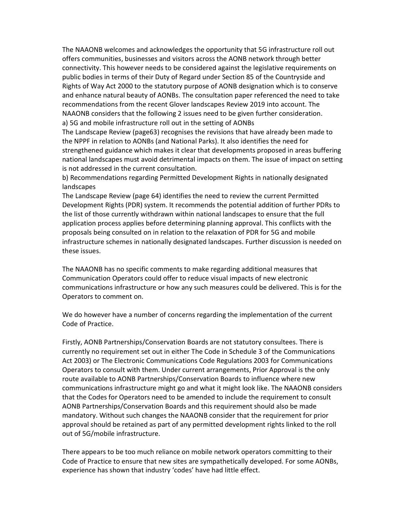The NAAONB welcomes and acknowledges the opportunity that 5G infrastructure roll out offers communities, businesses and visitors across the AONB network through better connectivity. This however needs to be considered against the legislative requirements on public bodies in terms of their Duty of Regard under Section 85 of the Countryside and Rights of Way Act 2000 to the statutory purpose of AONB designation which is to conserve and enhance natural beauty of AONBs. The consultation paper referenced the need to take recommendations from the recent Glover landscapes Review 2019 into account. The NAAONB considers that the following 2 issues need to be given further consideration. a) 5G and mobile infrastructure roll out in the setting of AONBs

The Landscape Review (page63) recognises the revisions that have already been made to the NPPF in relation to AONBs (and National Parks). It also identifies the need for strengthened guidance which makes it clear that developments proposed in areas buffering national landscapes must avoid detrimental impacts on them. The issue of impact on setting is not addressed in the current consultation.

b) Recommendations regarding Permitted Development Rights in nationally designated landscapes

The Landscape Review (page 64) identifies the need to review the current Permitted Development Rights (PDR) system. It recommends the potential addition of further PDRs to the list of those currently withdrawn within national landscapes to ensure that the full application process applies before determining planning approval. This conflicts with the proposals being consulted on in relation to the relaxation of PDR for 5G and mobile infrastructure schemes in nationally designated landscapes. Further discussion is needed on these issues.

The NAAONB has no specific comments to make regarding additional measures that Communication Operators could offer to reduce visual impacts of new electronic communications infrastructure or how any such measures could be delivered. This is for the Operators to comment on.

We do however have a number of concerns regarding the implementation of the current Code of Practice.

Firstly, AONB Partnerships/Conservation Boards are not statutory consultees. There is currently no requirement set out in either The Code in Schedule 3 of the Communications Act 2003) or The Electronic Communications Code Regulations 2003 for Communications Operators to consult with them. Under current arrangements, Prior Approval is the only route available to AONB Partnerships/Conservation Boards to influence where new communications infrastructure might go and what it might look like. The NAAONB considers that the Codes for Operators need to be amended to include the requirement to consult AONB Partnerships/Conservation Boards and this requirement should also be made mandatory. Without such changes the NAAONB consider that the requirement for prior approval should be retained as part of any permitted development rights linked to the roll out of 5G/mobile infrastructure.

There appears to be too much reliance on mobile network operators committing to their Code of Practice to ensure that new sites are sympathetically developed. For some AONBs, experience has shown that industry 'codes' have had little effect.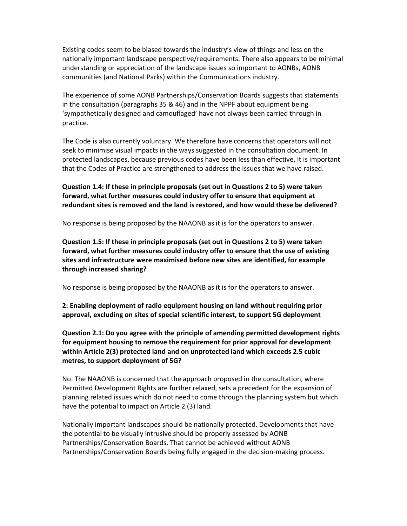Existing codes seem to be biased towards the industry's view of things and less on the nationally important landscape perspective/requirements. There also appears to be minimal understanding or appreciation of the landscape issues so important to AONBs, AONB communities (and National Parks) within the Communications industry.

The experience of some AONB Partnerships/Conservation Boards suggests that statements in the consultation (paragraphs 35 & 46) and in the NPPF about equipment being 'sympathetically designed and camouflaged' have not always been carried through in practice.

The Code is also currently voluntary. We therefore have concerns that operators will not seek to minimise visual impacts in the ways suggested in the consultation document. In protected landscapes, because previous codes have been less than effective, it is important that the Codes of Practice are strengthened to address the issues that we have raised.

Question 1.4: If these in principle proposals (set out in Questions 2 to 5) were taken forward, what further measures could industry offer to ensure that equipment at redundant sites is removed and the land is restored, and how would these be delivered?

No response is being proposed by the NAAONB as it is for the operators to answer.

Question 1.5: If these in principle proposals (set out in Questions 2 to 5) were taken forward, what further measures could industry offer to ensure that the use of existing sites and infrastructure were maximised before new sites are identified, for example through increased sharing?

No response is being proposed by the NAAONB as it is for the operators to answer.

2: Enabling deployment of radio equipment housing on land without requiring prior approval, excluding on sites of special scientific interest, to support 5G deployment

Question 2.1: Do you agree with the principle of amending permitted development rights for equipment housing to remove the requirement for prior approval for development within Article 2(3) protected land and on unprotected land which exceeds 2.5 cubic metres, to support deployment of 5G?

No. The NAAONB is concerned that the approach proposed in the consultation, where Permitted Development Rights are further relaxed, sets a precedent for the expansion of planning related issues which do not need to come through the planning system but which have the potential to impact on Article 2 (3) land.

Nationally important landscapes should be nationally protected. Developments that have the potential to be visually intrusive should be properly assessed by AONB Partnerships/Conservation Boards. That cannot be achieved without AONB Partnerships/Conservation Boards being fully engaged in the decision-making process.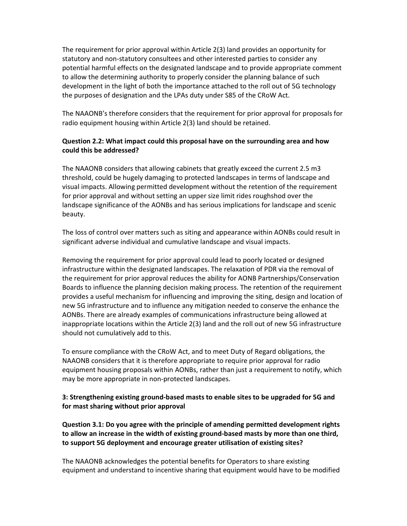The requirement for prior approval within Article 2(3) land provides an opportunity for statutory and non-statutory consultees and other interested parties to consider any potential harmful effects on the designated landscape and to provide appropriate comment to allow the determining authority to properly consider the planning balance of such development in the light of both the importance attached to the roll out of 5G technology the purposes of designation and the LPAs duty under S85 of the CRoW Act.

The NAAONB's therefore considers that the requirement for prior approval for proposals for radio equipment housing within Article 2(3) land should be retained.

## Question 2.2: What impact could this proposal have on the surrounding area and how could this be addressed?

The NAAONB considers that allowing cabinets that greatly exceed the current 2.5 m3 threshold, could be hugely damaging to protected landscapes in terms of landscape and visual impacts. Allowing permitted development without the retention of the requirement for prior approval and without setting an upper size limit rides roughshod over the landscape significance of the AONBs and has serious implications for landscape and scenic beauty.

The loss of control over matters such as siting and appearance within AONBs could result in significant adverse individual and cumulative landscape and visual impacts.

Removing the requirement for prior approval could lead to poorly located or designed infrastructure within the designated landscapes. The relaxation of PDR via the removal of the requirement for prior approval reduces the ability for AONB Partnerships/Conservation Boards to influence the planning decision making process. The retention of the requirement provides a useful mechanism for influencing and improving the siting, design and location of new 5G infrastructure and to influence any mitigation needed to conserve the enhance the AONBs. There are already examples of communications infrastructure being allowed at inappropriate locations within the Article 2(3) land and the roll out of new 5G infrastructure should not cumulatively add to this.

To ensure compliance with the CRoW Act, and to meet Duty of Regard obligations, the NAAONB considers that it is therefore appropriate to require prior approval for radio equipment housing proposals within AONBs, rather than just a requirement to notify, which may be more appropriate in non-protected landscapes.

## 3: Strengthening existing ground-based masts to enable sites to be upgraded for 5G and for mast sharing without prior approval

Question 3.1: Do you agree with the principle of amending permitted development rights to allow an increase in the width of existing ground-based masts by more than one third, to support 5G deployment and encourage greater utilisation of existing sites?

The NAAONB acknowledges the potential benefits for Operators to share existing equipment and understand to incentive sharing that equipment would have to be modified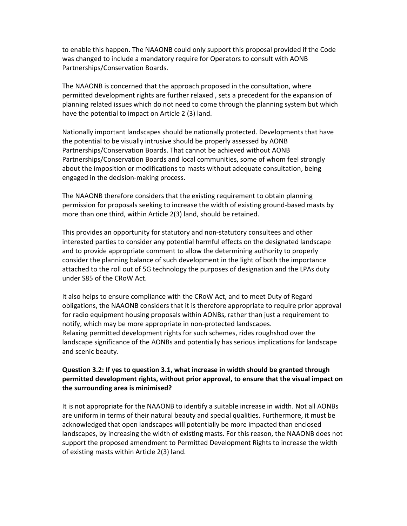to enable this happen. The NAAONB could only support this proposal provided if the Code was changed to include a mandatory require for Operators to consult with AONB Partnerships/Conservation Boards.

The NAAONB is concerned that the approach proposed in the consultation, where permitted development rights are further relaxed , sets a precedent for the expansion of planning related issues which do not need to come through the planning system but which have the potential to impact on Article 2 (3) land.

Nationally important landscapes should be nationally protected. Developments that have the potential to be visually intrusive should be properly assessed by AONB Partnerships/Conservation Boards. That cannot be achieved without AONB Partnerships/Conservation Boards and local communities, some of whom feel strongly about the imposition or modifications to masts without adequate consultation, being engaged in the decision-making process.

The NAAONB therefore considers that the existing requirement to obtain planning permission for proposals seeking to increase the width of existing ground-based masts by more than one third, within Article 2(3) land, should be retained.

This provides an opportunity for statutory and non-statutory consultees and other interested parties to consider any potential harmful effects on the designated landscape and to provide appropriate comment to allow the determining authority to properly consider the planning balance of such development in the light of both the importance attached to the roll out of 5G technology the purposes of designation and the LPAs duty under S85 of the CRoW Act.

It also helps to ensure compliance with the CRoW Act, and to meet Duty of Regard obligations, the NAAONB considers that it is therefore appropriate to require prior approval for radio equipment housing proposals within AONBs, rather than just a requirement to notify, which may be more appropriate in non-protected landscapes. Relaxing permitted development rights for such schemes, rides roughshod over the landscape significance of the AONBs and potentially has serious implications for landscape and scenic beauty.

#### Question 3.2: If yes to question 3.1, what increase in width should be granted through permitted development rights, without prior approval, to ensure that the visual impact on the surrounding area is minimised?

It is not appropriate for the NAAONB to identify a suitable increase in width. Not all AONBs are uniform in terms of their natural beauty and special qualities. Furthermore, it must be acknowledged that open landscapes will potentially be more impacted than enclosed landscapes, by increasing the width of existing masts. For this reason, the NAAONB does not support the proposed amendment to Permitted Development Rights to increase the width of existing masts within Article 2(3) land.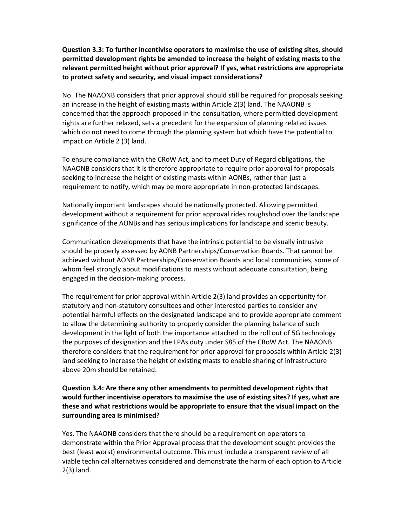Question 3.3: To further incentivise operators to maximise the use of existing sites, should permitted development rights be amended to increase the height of existing masts to the relevant permitted height without prior approval? If yes, what restrictions are appropriate to protect safety and security, and visual impact considerations?

No. The NAAONB considers that prior approval should still be required for proposals seeking an increase in the height of existing masts within Article 2(3) land. The NAAONB is concerned that the approach proposed in the consultation, where permitted development rights are further relaxed, sets a precedent for the expansion of planning related issues which do not need to come through the planning system but which have the potential to impact on Article 2 (3) land.

To ensure compliance with the CRoW Act, and to meet Duty of Regard obligations, the NAAONB considers that it is therefore appropriate to require prior approval for proposals seeking to increase the height of existing masts within AONBs, rather than just a requirement to notify, which may be more appropriate in non-protected landscapes.

Nationally important landscapes should be nationally protected. Allowing permitted development without a requirement for prior approval rides roughshod over the landscape significance of the AONBs and has serious implications for landscape and scenic beauty.

Communication developments that have the intrinsic potential to be visually intrusive should be properly assessed by AONB Partnerships/Conservation Boards. That cannot be achieved without AONB Partnerships/Conservation Boards and local communities, some of whom feel strongly about modifications to masts without adequate consultation, being engaged in the decision-making process.

The requirement for prior approval within Article 2(3) land provides an opportunity for statutory and non-statutory consultees and other interested parties to consider any potential harmful effects on the designated landscape and to provide appropriate comment to allow the determining authority to properly consider the planning balance of such development in the light of both the importance attached to the roll out of 5G technology the purposes of designation and the LPAs duty under S85 of the CRoW Act. The NAAONB therefore considers that the requirement for prior approval for proposals within Article 2(3) land seeking to increase the height of existing masts to enable sharing of infrastructure above 20m should be retained.

Question 3.4: Are there any other amendments to permitted development rights that would further incentivise operators to maximise the use of existing sites? If yes, what are these and what restrictions would be appropriate to ensure that the visual impact on the surrounding area is minimised?

Yes. The NAAONB considers that there should be a requirement on operators to demonstrate within the Prior Approval process that the development sought provides the best (least worst) environmental outcome. This must include a transparent review of all viable technical alternatives considered and demonstrate the harm of each option to Article 2(3) land.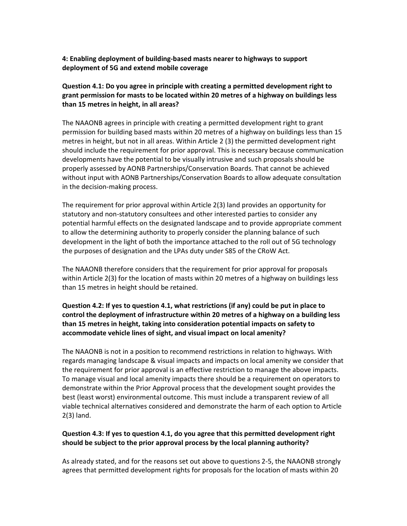4: Enabling deployment of building-based masts nearer to highways to support deployment of 5G and extend mobile coverage

# Question 4.1: Do you agree in principle with creating a permitted development right to grant permission for masts to be located within 20 metres of a highway on buildings less than 15 metres in height, in all areas?

The NAAONB agrees in principle with creating a permitted development right to grant permission for building based masts within 20 metres of a highway on buildings less than 15 metres in height, but not in all areas. Within Article 2 (3) the permitted development right should include the requirement for prior approval. This is necessary because communication developments have the potential to be visually intrusive and such proposals should be properly assessed by AONB Partnerships/Conservation Boards. That cannot be achieved without input with AONB Partnerships/Conservation Boards to allow adequate consultation in the decision-making process.

The requirement for prior approval within Article 2(3) land provides an opportunity for statutory and non-statutory consultees and other interested parties to consider any potential harmful effects on the designated landscape and to provide appropriate comment to allow the determining authority to properly consider the planning balance of such development in the light of both the importance attached to the roll out of 5G technology the purposes of designation and the LPAs duty under S85 of the CRoW Act.

The NAAONB therefore considers that the requirement for prior approval for proposals within Article 2(3) for the location of masts within 20 metres of a highway on buildings less than 15 metres in height should be retained.

# Question 4.2: If yes to question 4.1, what restrictions (if any) could be put in place to control the deployment of infrastructure within 20 metres of a highway on a building less than 15 metres in height, taking into consideration potential impacts on safety to accommodate vehicle lines of sight, and visual impact on local amenity?

The NAAONB is not in a position to recommend restrictions in relation to highways. With regards managing landscape & visual impacts and impacts on local amenity we consider that the requirement for prior approval is an effective restriction to manage the above impacts. To manage visual and local amenity impacts there should be a requirement on operators to demonstrate within the Prior Approval process that the development sought provides the best (least worst) environmental outcome. This must include a transparent review of all viable technical alternatives considered and demonstrate the harm of each option to Article 2(3) land.

#### Question 4.3: If yes to question 4.1, do you agree that this permitted development right should be subject to the prior approval process by the local planning authority?

As already stated, and for the reasons set out above to questions 2-5, the NAAONB strongly agrees that permitted development rights for proposals for the location of masts within 20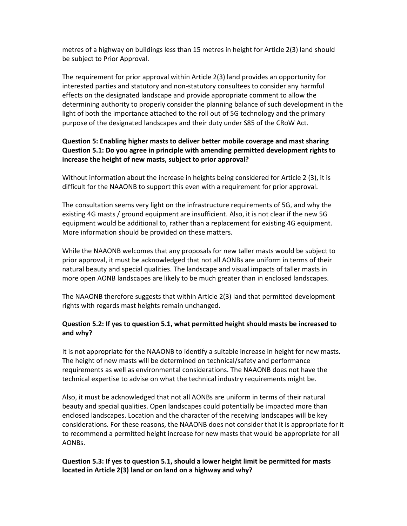metres of a highway on buildings less than 15 metres in height for Article 2(3) land should be subject to Prior Approval.

The requirement for prior approval within Article 2(3) land provides an opportunity for interested parties and statutory and non-statutory consultees to consider any harmful effects on the designated landscape and provide appropriate comment to allow the determining authority to properly consider the planning balance of such development in the light of both the importance attached to the roll out of 5G technology and the primary purpose of the designated landscapes and their duty under S85 of the CRoW Act.

# Question 5: Enabling higher masts to deliver better mobile coverage and mast sharing Question 5.1: Do you agree in principle with amending permitted development rights to increase the height of new masts, subject to prior approval?

Without information about the increase in heights being considered for Article 2 (3), it is difficult for the NAAONB to support this even with a requirement for prior approval.

The consultation seems very light on the infrastructure requirements of 5G, and why the existing 4G masts / ground equipment are insufficient. Also, it is not clear if the new 5G equipment would be additional to, rather than a replacement for existing 4G equipment. More information should be provided on these matters.

While the NAAONB welcomes that any proposals for new taller masts would be subject to prior approval, it must be acknowledged that not all AONBs are uniform in terms of their natural beauty and special qualities. The landscape and visual impacts of taller masts in more open AONB landscapes are likely to be much greater than in enclosed landscapes.

The NAAONB therefore suggests that within Article 2(3) land that permitted development rights with regards mast heights remain unchanged.

## Question 5.2: If yes to question 5.1, what permitted height should masts be increased to and why?

It is not appropriate for the NAAONB to identify a suitable increase in height for new masts. The height of new masts will be determined on technical/safety and performance requirements as well as environmental considerations. The NAAONB does not have the technical expertise to advise on what the technical industry requirements might be.

Also, it must be acknowledged that not all AONBs are uniform in terms of their natural beauty and special qualities. Open landscapes could potentially be impacted more than enclosed landscapes. Location and the character of the receiving landscapes will be key considerations. For these reasons, the NAAONB does not consider that it is appropriate for it to recommend a permitted height increase for new masts that would be appropriate for all AONBs.

#### Question 5.3: If yes to question 5.1, should a lower height limit be permitted for masts located in Article 2(3) land or on land on a highway and why?